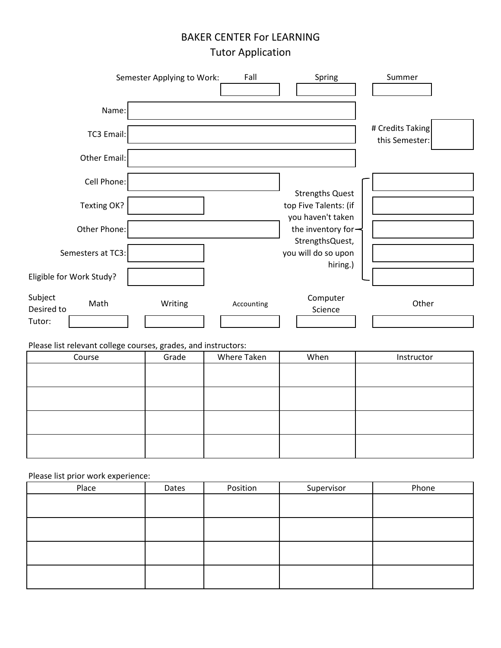## BAKER CENTER For LEARNING Tutor Application

| Semester Applying to Work:<br>Fall                               | Spring<br>Summer                                                        |       |
|------------------------------------------------------------------|-------------------------------------------------------------------------|-------|
| Name:                                                            |                                                                         |       |
| TC3 Email:                                                       | # Credits Taking<br>this Semester:                                      |       |
| <b>Other Email:</b>                                              |                                                                         |       |
| Cell Phone:                                                      | <b>Strengths Quest</b>                                                  |       |
| Texting OK?                                                      | top Five Talents: (if                                                   |       |
| Other Phone:                                                     | you haven't taken<br>the inventory for $\rightarrow$<br>StrengthsQuest, |       |
| Semesters at TC3:                                                | you will do so upon                                                     |       |
| Eligible for Work Study?                                         | hiring.)                                                                |       |
| Subject<br>Math<br>Writing<br>Accounting<br>Desired to<br>Tutor: | Computer<br>Science                                                     | Other |

Please list relevant college courses, grades, and instructors:

| $\tilde{\phantom{a}}$<br>Course | Grade | Where Taken | When | Instructor |
|---------------------------------|-------|-------------|------|------------|
|                                 |       |             |      |            |
|                                 |       |             |      |            |
|                                 |       |             |      |            |
|                                 |       |             |      |            |
|                                 |       |             |      |            |
|                                 |       |             |      |            |
|                                 |       |             |      |            |
|                                 |       |             |      |            |

Please list prior work experience:

| Place | Dates | Position | Supervisor | Phone |
|-------|-------|----------|------------|-------|
|       |       |          |            |       |
|       |       |          |            |       |
|       |       |          |            |       |
|       |       |          |            |       |
|       |       |          |            |       |
|       |       |          |            |       |
|       |       |          |            |       |
|       |       |          |            |       |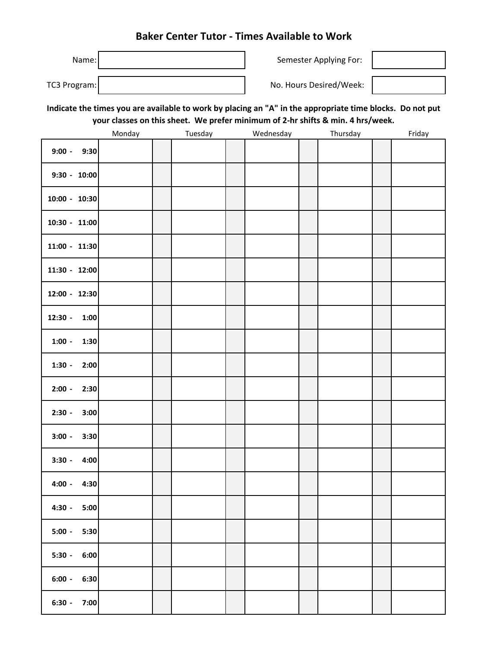### **Baker Center Tutor - Times Available to Work**

| Name:        | Semester Applying For:  |  |  |
|--------------|-------------------------|--|--|
| TC3 Program: | No. Hours Desired/Week: |  |  |

**Indicate the times you are available to work by placing an "A" in the appropriate time blocks. Do not put your classes on this sheet. We prefer minimum of 2-hr shifts & min. 4 hrs/week.**

|                   | Monday | Tuesday | Wednesday | Thursday | Friday |
|-------------------|--------|---------|-----------|----------|--------|
| $9:00 -$<br>9:30  |        |         |           |          |        |
| $9:30 - 10:00$    |        |         |           |          |        |
| 10:00 - 10:30     |        |         |           |          |        |
| 10:30 - 11:00     |        |         |           |          |        |
| 11:00 - 11:30     |        |         |           |          |        |
| 11:30 - 12:00     |        |         |           |          |        |
| 12:00 - 12:30     |        |         |           |          |        |
| $12:30 -$<br>1:00 |        |         |           |          |        |
| $1:00 -$<br>1:30  |        |         |           |          |        |
| $1:30 -$<br>2:00  |        |         |           |          |        |
| $2:00 -$<br>2:30  |        |         |           |          |        |
| $2:30 -$<br>3:00  |        |         |           |          |        |
| $3:00 -$<br>3:30  |        |         |           |          |        |
| $3:30 -$<br>4:00  |        |         |           |          |        |
| $4:00 -$<br>4:30  |        |         |           |          |        |
| $4:30 -$<br>5:00  |        |         |           |          |        |
| $5:00 -$<br>5:30  |        |         |           |          |        |
| $5:30 -$<br>6:00  |        |         |           |          |        |
| $6:00 - 6:30$     |        |         |           |          |        |
| $6:30 - 7:00$     |        |         |           |          |        |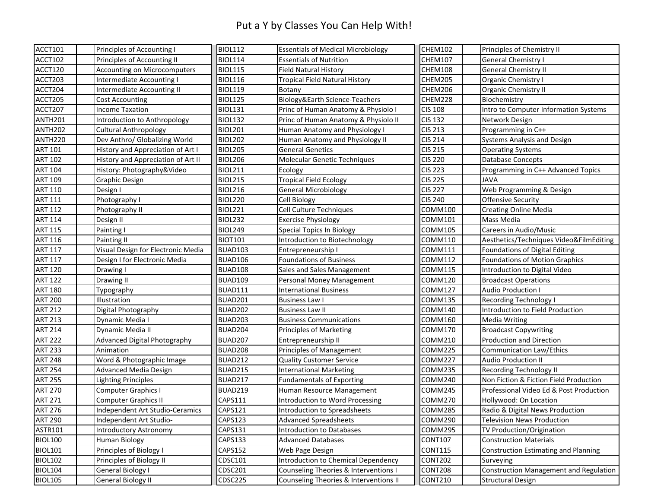#### Put a Y by Classes You Can Help With!

| ACCT101             | Principles of Accounting I          | <b>BIOL112</b> | <b>Essentials of Medical Microbiology</b> | CHEM102        | Principles of Chemistry II                    |
|---------------------|-------------------------------------|----------------|-------------------------------------------|----------------|-----------------------------------------------|
| ACCT102             | Principles of Accounting II         | <b>BIOL114</b> | <b>Essentials of Nutrition</b>            | <b>CHEM107</b> | <b>General Chemistry I</b>                    |
| ACCT120             | <b>Accounting on Microcomputers</b> | <b>BIOL115</b> | <b>Field Natural History</b>              | CHEM108        | <b>General Chemistry II</b>                   |
| ACCT203             | Intermediate Accounting I           | <b>BIOL116</b> | <b>Tropical Field Natural History</b>     | CHEM205        | Organic Chemistry I                           |
| ACCT204             | Intermediate Accounting II          | <b>BIOL119</b> | Botany                                    | CHEM206        | <b>Organic Chemistry II</b>                   |
| ACCT205             | <b>Cost Accounting</b>              | <b>BIOL125</b> | Biology&Earth Science-Teachers            | CHEM228        | Biochemistry                                  |
| ACCT207             | <b>Income Taxation</b>              | <b>BIOL131</b> | Princ of Human Anatomy & Physiolo I       | <b>CIS 108</b> | Intro to Computer Information Systems         |
| ANTH201             | Introduction to Anthropology        | <b>BIOL132</b> | Princ of Human Anatomy & Physiolo II      | <b>CIS 132</b> | Network Design                                |
| ANTH <sub>202</sub> | <b>Cultural Anthropology</b>        | <b>BIOL201</b> | Human Anatomy and Physiology I            | <b>CIS 213</b> | Programming in C++                            |
| ANTH220             | Dev Anthro/ Globalizing World       | <b>BIOL202</b> | Human Anatomy and Physiology II           | <b>CIS 214</b> | Systems Analysis and Design                   |
| <b>ART 101</b>      | History and Appreciation of Art I   | <b>BIOL205</b> | <b>General Genetics</b>                   | <b>CIS 215</b> | <b>Operating Systems</b>                      |
| <b>ART 102</b>      | History and Appreciation of Art II  | <b>BIOL206</b> | <b>Molecular Genetic Techniques</b>       | <b>CIS 220</b> | <b>Database Concepts</b>                      |
| <b>ART 104</b>      | History: Photography&Video          | <b>BIOL211</b> | Ecology                                   | <b>CIS 223</b> | Programming in C++ Advanced Topics            |
| <b>ART 109</b>      | <b>Graphic Design</b>               | <b>BIOL215</b> | <b>Tropical Field Ecology</b>             | <b>CIS 225</b> | <b>JAVA</b>                                   |
| <b>ART 110</b>      | Design I                            | <b>BIOL216</b> | <b>General Microbiology</b>               | <b>CIS 227</b> | Web Programming & Design                      |
| <b>ART 111</b>      | Photography I                       | <b>BIOL220</b> | <b>Cell Biology</b>                       | <b>CIS 240</b> | <b>Offensive Security</b>                     |
| <b>ART 112</b>      | Photography II                      | <b>BIOL221</b> | Cell Culture Techniques                   | COMM100        | <b>Creating Online Media</b>                  |
| <b>ART 114</b>      | Design II                           | <b>BIOL232</b> | <b>Exercise Physiology</b>                | COMM101        | Mass Media                                    |
| <b>ART 115</b>      | Painting I                          | <b>BIOL249</b> | <b>Special Topics In Biology</b>          | COMM105        | Careers in Audio/Music                        |
| <b>ART 116</b>      | Painting II                         | <b>BIOT101</b> | Introduction to Biotechnology             | COMM110        | Aesthetics/Techniques Video&FilmEditing       |
| <b>ART 117</b>      | Visual Design for Electronic Media  | <b>BUAD103</b> | Entrepreneurship I                        | COMM111        | Foundations of Digital Editing                |
| <b>ART 117</b>      | Design I for Electronic Media       | BUAD106        | <b>Foundations of Business</b>            | COMM112        | Foundations of Motion Graphics                |
| <b>ART 120</b>      | Drawing I                           | BUAD108        | Sales and Sales Management                | COMM115        | Introduction to Digital Video                 |
| <b>ART 122</b>      | Drawing II                          | BUAD109        | Personal Money Management                 | COMM120        | <b>Broadcast Operations</b>                   |
| <b>ART 180</b>      | Typography                          | BUAD111        | <b>International Business</b>             | COMM127        | <b>Audio Production I</b>                     |
| <b>ART 200</b>      | Illustration                        | BUAD201        | <b>Business Law I</b>                     | COMM135        | <b>Recording Technology I</b>                 |
| <b>ART 212</b>      | Digital Photography                 | BUAD202        | <b>Business Law II</b>                    | COMM140        | Introduction to Field Production              |
| <b>ART 213</b>      | Dynamic Media I                     | BUAD203        | <b>Business Communications</b>            | COMM160        | <b>Media Writing</b>                          |
| <b>ART 214</b>      | Dynamic Media II                    | BUAD204        | Principles of Marketing                   | COMM170        | <b>Broadcast Copywriting</b>                  |
| <b>ART 222</b>      | <b>Advanced Digital Photography</b> | BUAD207        | Entrepreneurship II                       | COMM210        | <b>Production and Direction</b>               |
| <b>ART 233</b>      | Animation                           | BUAD208        | Principles of Management                  | COMM225        | <b>Communication Law/Ethics</b>               |
| <b>ART 248</b>      | Word & Photographic Image           | BUAD212        | <b>Quality Customer Service</b>           | COMM227        | <b>Audio Production II</b>                    |
| <b>ART 254</b>      | <b>Advanced Media Design</b>        | <b>BUAD215</b> | <b>International Marketing</b>            | COMM235        | <b>Recording Technology II</b>                |
| <b>ART 255</b>      | <b>Lighting Principles</b>          | BUAD217        | <b>Fundamentals of Exporting</b>          | COMM240        | Non Fiction & Fiction Field Production        |
| <b>ART 270</b>      | <b>Computer Graphics I</b>          | BUAD219        | Human Resource Management                 | COMM245        | Professional Video Ed & Post Production       |
| <b>ART 271</b>      | <b>Computer Graphics II</b>         | CAPS111        | Introduction to Word Processing           | COMM270        | Hollywood: On Location                        |
| <b>ART 276</b>      | Independent Art Studio-Ceramics     | <b>CAPS121</b> | Introduction to Spreadsheets              | COMM285        | Radio & Digital News Production               |
| <b>ART 290</b>      | Independent Art Studio-             | CAPS123        | <b>Advanced Spreadsheets</b>              | COMM290        | <b>Television News Production</b>             |
| ASTR101             | <b>Introductory Astronomy</b>       | CAPS131        | <b>Introduction to Databases</b>          | COMM295        | TV Production/Origination                     |
| <b>BIOL100</b>      | <b>Human Biology</b>                | CAPS133        | <b>Advanced Databases</b>                 | <b>CONT107</b> | <b>Construction Materials</b>                 |
| <b>BIOL101</b>      | Principles of Biology I             | CAPS152        | Web Page Design                           | <b>CONT115</b> | <b>Construction Estimating and Planning</b>   |
| <b>BIOL102</b>      | Principles of Biology II            | CDSC101        | Introduction to Chemical Dependency       | CONT202        | Surveying                                     |
| <b>BIOL104</b>      | <b>General Biology I</b>            | CDSC201        | Counseling Theories & Interventions I     | CONT208        | <b>Construction Management and Regulation</b> |
| <b>BIOL105</b>      | <b>General Biology II</b>           | CDSC225        | Counseling Theories & Interventions II    | CONT210        | <b>Structural Design</b>                      |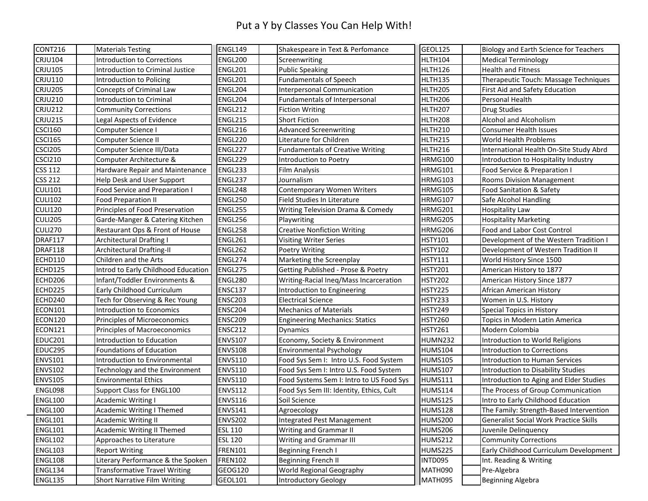#### Put a Y by Classes You Can Help With!

| CONT216        | <b>Materials Testing</b>             | ENGL149        | Shakespeare in Text & Perfomance         | GEOL125        | <b>Biology and Earth Science for Teachers</b> |
|----------------|--------------------------------------|----------------|------------------------------------------|----------------|-----------------------------------------------|
| <b>CRJU104</b> | Introduction to Corrections          | <b>ENGL200</b> | Screenwriting                            | <b>HLTH104</b> | <b>Medical Terminology</b>                    |
| <b>CRJU105</b> | Introduction to Criminal Justice     | <b>ENGL201</b> | <b>Public Speaking</b>                   | <b>HLTH126</b> | <b>Health and Fitness</b>                     |
| <b>CRJU110</b> | Introduction to Policing             | ENGL201        | <b>Fundamentals of Speech</b>            | HLTH135        | Therapeutic Touch: Massage Techniques         |
| <b>CRJU205</b> | <b>Concepts of Criminal Law</b>      | ENGL204        | Interpersonal Communication              | <b>HLTH205</b> | First Aid and Safety Education                |
| <b>CRJU210</b> | Introduction to Criminal             | ENGL204        | Fundamentals of Interpersonal            | <b>HLTH206</b> | Personal Health                               |
| <b>CRJU212</b> | <b>Community Corrections</b>         | <b>ENGL212</b> | <b>Fiction Writing</b>                   | <b>HLTH207</b> | <b>Drug Studies</b>                           |
| <b>CRJU215</b> | Legal Aspects of Evidence            | ENGL215        | <b>Short Fiction</b>                     | <b>HLTH208</b> | Alcohol and Alcoholism                        |
| <b>CSCI160</b> | Computer Science I                   | <b>ENGL216</b> | <b>Advanced Screenwriting</b>            | <b>HLTH210</b> | <b>Consumer Health Issues</b>                 |
| <b>CSCI165</b> | Computer Science II                  | ENGL220        | Literature for Children                  | <b>HLTH215</b> | World Health Problems                         |
| <b>CSCI205</b> | Computer Science III/Data            | ENGL227        | <b>Fundamentals of Creative Writing</b>  | <b>HLTH216</b> | International Health On-Site Study Abrd       |
| <b>CSCI210</b> | Computer Architecture &              | ENGL229        | Introduction to Poetry                   | <b>HRMG100</b> | Introduction to Hospitality Industry          |
| <b>CSS 112</b> | Hardware Repair and Maintenance      | ENGL233        | <b>Film Analysis</b>                     | <b>HRMG101</b> | Food Service & Preparation I                  |
| <b>CSS 212</b> | Help Desk and User Support           | ENGL237        | Journalism                               | <b>HRMG103</b> | <b>Rooms Division Management</b>              |
| <b>CULI101</b> | Food Service and Preparation I       | ENGL248        | <b>Contemporary Women Writers</b>        | <b>HRMG105</b> | Food Sanitation & Safety                      |
| <b>CULI102</b> | <b>Food Preparation II</b>           | <b>ENGL250</b> | Field Studies In Literature              | <b>HRMG107</b> | Safe Alcohol Handling                         |
| <b>CULI120</b> | Principles of Food Preservation      | ENGL255        | Writing Television Drama & Comedy        | HRMG201        | <b>Hospitality Law</b>                        |
| <b>CULI205</b> | Garde-Manger & Catering Kitchen      | ENGL256        | Playwriting                              | HRMG205        | <b>Hospitality Marketing</b>                  |
| <b>CULI270</b> | Restaurant Ops & Front of House      | ENGL258        | <b>Creative Nonfiction Writing</b>       | HRMG206        | Food and Labor Cost Control                   |
| DRAF117        | <b>Architectural Drafting I</b>      | ENGL261        | <b>Visiting Writer Series</b>            | <b>HSTY101</b> | Development of the Western Tradition I        |
| DRAF118        | Architectural Drafting-II            | ENGL262        | <b>Poetry Writing</b>                    | <b>HSTY102</b> | Development of Western Tradition II           |
| <b>ECHD110</b> | Children and the Arts                | ENGL274        | Marketing the Screenplay                 | <b>HSTY111</b> | World History Since 1500                      |
| ECHD125        | Introd to Early Childhood Education  | ENGL275        | Getting Published - Prose & Poetry       | <b>HSTY201</b> | American History to 1877                      |
| ECHD206        | Infant/Toddler Environments &        | ENGL280        | Writing-Racial Ineq/Mass Incarceration   | <b>HSTY202</b> | American History Since 1877                   |
| ECHD225        | Early Childhood Curriculum           | <b>ENSC137</b> | Introduction to Engineering              | <b>HSTY225</b> | African American History                      |
| ECHD240        | Tech for Observing & Rec Young       | <b>ENSC203</b> | <b>Electrical Science</b>                | <b>HSTY233</b> | Women in U.S. History                         |
| <b>ECON101</b> | Introduction to Economics            | ENSC204        | <b>Mechanics of Materials</b>            | <b>HSTY249</b> | Special Topics in History                     |
| ECON120        | Principles of Microeconomics         | <b>ENSC209</b> | <b>Engineering Mechanics: Statics</b>    | <b>HSTY260</b> | Topics in Modern Latin America                |
| <b>ECON121</b> | Principles of Macroeconomics         | <b>ENSC212</b> | <b>Dynamics</b>                          | <b>HSTY261</b> | Modern Colombia                               |
| <b>EDUC201</b> | Introduction to Education            | <b>ENVS107</b> | Economy, Society & Environment           | HUMN232        | Introduction to World Religions               |
| EDUC295        | Foundations of Education             | <b>ENVS108</b> | <b>Environmental Psychology</b>          | <b>HUMS104</b> | Introduction to Corrections                   |
| <b>ENVS101</b> | Introduction to Environmental        | <b>ENVS110</b> | Food Sys Sem I: Intro U.S. Food System   | <b>HUMS105</b> | Introduction to Human Services                |
| <b>ENVS102</b> | Technology and the Environment       | <b>ENVS110</b> | Food Sys Sem I: Intro U.S. Food System   | <b>HUMS107</b> | Introduction to Disability Studies            |
| <b>ENVS105</b> | <b>Environmental Ethics</b>          | <b>ENVS110</b> | Food Systems Sem I: Intro to US Food Sys | <b>HUMS111</b> | Introduction to Aging and Elder Studies       |
| ENGL098        | Support Class for ENGL100            | <b>ENVS112</b> | Food Sys Sem III: Identity, Ethics, Cult | <b>HUMS114</b> | The Process of Group Communication            |
| <b>ENGL100</b> | <b>Academic Writing I</b>            | <b>ENVS116</b> | Soil Science                             | <b>HUMS125</b> | Intro to Early Childhood Education            |
| <b>ENGL100</b> | <b>Academic Writing I Themed</b>     | <b>ENVS141</b> | Agroecology                              | <b>HUMS128</b> | The Family: Strength-Based Intervention       |
| <b>ENGL101</b> | <b>Academic Writing II</b>           | <b>ENVS202</b> | Integrated Pest Management               | <b>HUMS200</b> | <b>Generalist Social Work Practice Skills</b> |
| <b>ENGL101</b> | Academic Writing II Themed           | <b>ESL 110</b> | <b>Writing and Grammar II</b>            | <b>HUMS206</b> | Juvenile Delinguency                          |
| <b>ENGL102</b> | Approaches to Literature             | <b>ESL 120</b> | <b>Writing and Grammar III</b>           | <b>HUMS212</b> | <b>Community Corrections</b>                  |
| <b>ENGL103</b> | <b>Report Writing</b>                | <b>FREN101</b> | Beginning French I                       | <b>HUMS225</b> | Early Childhood Curriculum Development        |
| <b>ENGL108</b> | Literary Performance & the Spoken    | <b>FREN102</b> | <b>Beginning French II</b>               | INTD095        | Int. Reading & Writing                        |
| ENGL134        | <b>Transformative Travel Writing</b> | GEOG120        | World Regional Geography                 | MATH090        | Pre-Algebra                                   |
| ENGL135        |                                      | GEOL101        | <b>Introductory Geology</b>              | MATH095        | <b>Beginning Algebra</b>                      |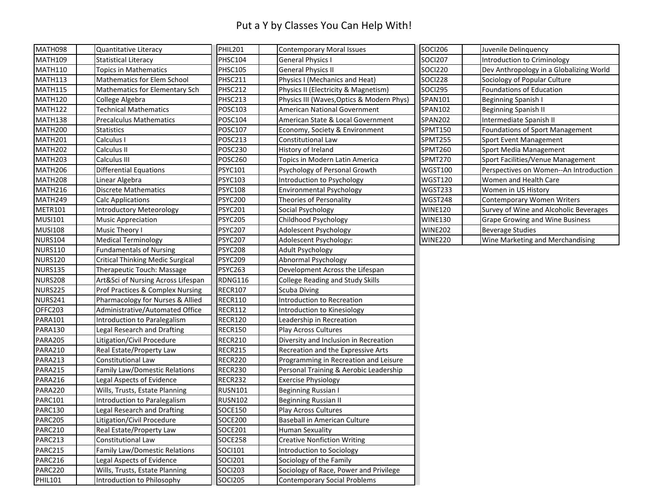#### Put a Y by Classes You Can Help With!

| MATH098             | Quantitative Literacy                   | <b>PHIL201</b> | <b>Contemporary Moral Issues</b>          | <b>SOCI206</b> | Juvenile Delinquency                    |
|---------------------|-----------------------------------------|----------------|-------------------------------------------|----------------|-----------------------------------------|
| <b>MATH109</b>      | <b>Statistical Literacy</b>             | <b>PHSC104</b> | <b>General Physics I</b>                  | <b>SOCI207</b> | Introduction to Criminology             |
| <b>MATH110</b>      | <b>Topics in Mathematics</b>            | <b>PHSC105</b> | <b>General Physics II</b>                 | <b>SOCI220</b> | Dev Anthropology in a Globalizing World |
| <b>MATH113</b>      | <b>Mathematics for Elem School</b>      | PHSC211        | Physics I (Mechanics and Heat)            | <b>SOCI228</b> | Sociology of Popular Culture            |
| <b>MATH115</b>      | Mathematics for Elementary Sch          | PHSC212        | Physics II (Electricity & Magnetism)      | <b>SOCI295</b> | Foundations of Education                |
| MATH120             | College Algebra                         | PHSC213        | Physics III (Waves, Optics & Modern Phys) | SPAN101        | <b>Beginning Spanish I</b>              |
| <b>MATH122</b>      | <b>Technical Mathematics</b>            | POSC103        | American National Government              | SPAN102        | <b>Beginning Spanish II</b>             |
| MATH138             | <b>Precalculus Mathematics</b>          | POSC104        | American State & Local Government         | <b>SPAN202</b> | Intermediate Spanish II                 |
| MATH <sub>200</sub> | <b>Statistics</b>                       | POSC107        | Economy, Society & Environment            | SPMT150        | <b>Foundations of Sport Management</b>  |
| MATH <sub>201</sub> | Calculus I                              | <b>POSC213</b> | Constitutional Law                        | SPMT255        | Sport Event Management                  |
| <b>MATH202</b>      | Calculus II                             | <b>POSC230</b> | History of Ireland                        | SPMT260        | Sport Media Management                  |
| MATH203             | Calculus III                            | <b>POSC260</b> | Topics in Modern Latin America            | SPMT270        | Sport Facilities/Venue Management       |
| MATH206             | <b>Differential Equations</b>           | <b>PSYC101</b> | Psychology of Personal Growth             | <b>WGST100</b> | Perspectives on Women--An Introduction  |
| MATH208             | Linear Algebra                          | <b>PSYC103</b> | Introduction to Psychology                | WGST120        | Women and Health Care                   |
| MATH216             | <b>Discrete Mathematics</b>             | <b>PSYC108</b> | <b>Environmental Psychology</b>           | WGST233        | Women in US History                     |
| MATH249             | <b>Calc Applications</b>                | <b>PSYC200</b> | Theories of Personality                   | WGST248        | <b>Contemporary Women Writers</b>       |
| METR101             | <b>Introductory Meteorology</b>         | <b>PSYC201</b> | Social Psychology                         | <b>WINE120</b> | Survey of Wine and Alcoholic Beverages  |
| <b>MUSI101</b>      | <b>Music Appreciation</b>               | <b>PSYC205</b> | Childhood Psychology                      | <b>WINE130</b> | <b>Grape Growing and Wine Business</b>  |
| <b>MUSI108</b>      | Music Theory I                          | <b>PSYC207</b> | Adolescent Psychology                     | <b>WINE202</b> | <b>Beverage Studies</b>                 |
| <b>NURS104</b>      | <b>Medical Terminology</b>              | <b>PSYC207</b> | Adolescent Psychology:                    | <b>WINE220</b> | Wine Marketing and Merchandising        |
| <b>NURS110</b>      | <b>Fundamentals of Nursing</b>          | <b>PSYC208</b> | <b>Adult Psychology</b>                   |                |                                         |
| <b>NURS120</b>      | <b>Critical Thinking Medic Surgical</b> | <b>PSYC209</b> | <b>Abnormal Psychology</b>                |                |                                         |
| <b>NURS135</b>      | Therapeutic Touch: Massage              | PSYC263        | Development Across the Lifespan           |                |                                         |
| <b>NURS208</b>      | Art&Sci of Nursing Across Lifespan      | RDNG116        | <b>College Reading and Study Skills</b>   |                |                                         |
| <b>NURS225</b>      | Prof Practices & Complex Nursing        | <b>RECR107</b> | <b>Scuba Diving</b>                       |                |                                         |
| NURS241             | Pharmacology for Nurses & Allied        | <b>RECR110</b> | Introduction to Recreation                |                |                                         |
| OFFC203             | Administrative/Automated Office         | <b>RECR112</b> | Introduction to Kinesiology               |                |                                         |
| PARA101             | Introduction to Paralegalism            | RECR120        | Leadership in Recreation                  |                |                                         |
| PARA130             | Legal Research and Drafting             | <b>RECR150</b> | Play Across Cultures                      |                |                                         |
| PARA205             | Litigation/Civil Procedure              | RECR210        | Diversity and Inclusion in Recreation     |                |                                         |
| PARA210             | Real Estate/Property Law                | RECR215        | Recreation and the Expressive Arts        |                |                                         |
| PARA213             | Constitutional Law                      | RECR220        | Programming in Recreation and Leisure     |                |                                         |
| PARA215             | Family Law/Domestic Relations           | RECR230        | Personal Training & Aerobic Leadership    |                |                                         |
| PARA216             | Legal Aspects of Evidence               | <b>RECR232</b> | <b>Exercise Physiology</b>                |                |                                         |
| PARA220             | Wills, Trusts, Estate Planning          | <b>RUSN101</b> | Beginning Russian I                       |                |                                         |
| <b>PARC101</b>      | Introduction to Paralegalism            | <b>RUSN102</b> | <b>Beginning Russian II</b>               |                |                                         |
| PARC130             | Legal Research and Drafting             | <b>SOCE150</b> | Play Across Cultures                      |                |                                         |
| <b>PARC205</b>      | Litigation/Civil Procedure              | <b>SOCE200</b> | Baseball in American Culture              |                |                                         |
| PARC210             | Real Estate/Property Law                | SOCE201        | <b>Human Sexuality</b>                    |                |                                         |
| PARC213             | Constitutional Law                      | <b>SOCE258</b> | <b>Creative Nonfiction Writing</b>        |                |                                         |
| PARC215             | Family Law/Domestic Relations           | <b>SOCI101</b> | Introduction to Sociology                 |                |                                         |
| PARC216             | Legal Aspects of Evidence               | <b>SOCI201</b> | Sociology of the Family                   |                |                                         |
| PARC220             | Wills, Trusts, Estate Planning          | <b>SOCI203</b> | Sociology of Race, Power and Privilege    |                |                                         |
| <b>PHIL101</b>      | Introduction to Philosophy              | <b>SOCI205</b> | <b>Contemporary Social Problems</b>       |                |                                         |